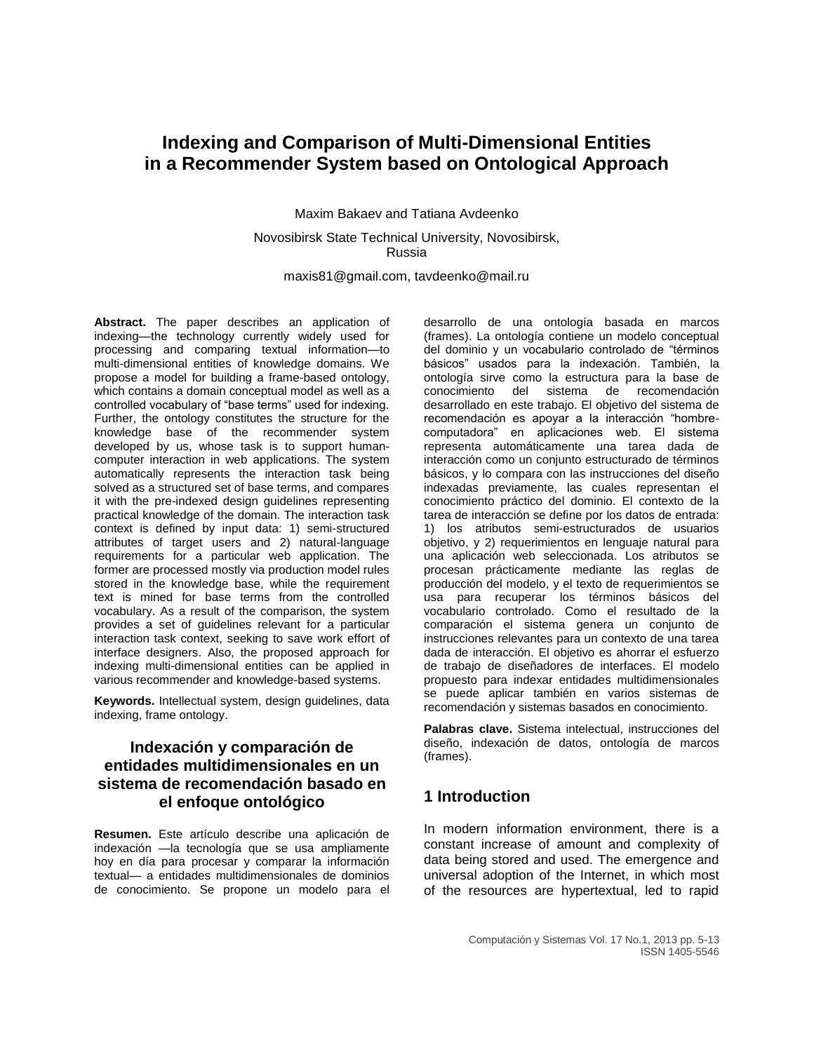# **Indexing and Comparison of Multi-Dimensional Entities in a Recommender System based on Ontological Approach**

Maxim Bakaev and Tatiana Avdeenko

Novosibirsk State Technical University, Novosibirsk, Russia

maxis81@gmail.com, tavdeenko@mail.ru

**Abstract.** The paper describes an application of indexing—the technology currently widely used for processing and comparing textual information—to multi-dimensional entities of knowledge domains. We propose a model for building a frame-based ontology, which contains a domain conceptual model as well as a controlled vocabulary of "base terms" used for indexing. Further, the ontology constitutes the structure for the knowledge base of the recommender system developed by us, whose task is to support humancomputer interaction in web applications. The system automatically represents the interaction task being solved as a structured set of base terms, and compares it with the pre-indexed design guidelines representing practical knowledge of the domain. The interaction task context is defined by input data: 1) semi-structured attributes of target users and 2) natural-language requirements for a particular web application. The former are processed mostly via production model rules stored in the knowledge base, while the requirement text is mined for base terms from the controlled vocabulary. As a result of the comparison, the system provides a set of guidelines relevant for a particular interaction task context, seeking to save work effort of interface designers. Also, the proposed approach for indexing multi-dimensional entities can be applied in various recommender and knowledge-based systems.

**Keywords.** Intellectual system, design guidelines, data indexing, frame ontology.

## **Indexación y comparación de entidades multidimensionales en un sistema de recomendación basado en el enfoque ontológico**

**Resumen.** Este artículo describe una aplicación de indexación —la tecnología que se usa ampliamente hoy en día para procesar y comparar la información textual— a entidades multidimensionales de dominios de conocimiento. Se propone un modelo para el

desarrollo de una ontología basada en marcos (frames). La ontología contiene un modelo conceptual del dominio y un vocabulario controlado de "términos básicos" usados para la indexación. También, la ontología sirve como la estructura para la base de conocimiento del sistema de recomendación desarrollado en este trabajo. El objetivo del sistema de recomendación es apoyar a la interacción "hombrecomputadora" en aplicaciones web. El sistema representa automáticamente una tarea dada de interacción como un conjunto estructurado de términos básicos, y lo compara con las instrucciones del diseño indexadas previamente, las cuales representan el conocimiento práctico del dominio. El contexto de la tarea de interacción se define por los datos de entrada: 1) los atributos semi-estructurados de usuarios objetivo, y 2) requerimientos en lenguaje natural para una aplicación web seleccionada. Los atributos se procesan prácticamente mediante las reglas de producción del modelo, y el texto de requerimientos se usa para recuperar los términos básicos del vocabulario controlado. Como el resultado de la comparación el sistema genera un conjunto de instrucciones relevantes para un contexto de una tarea dada de interacción. El objetivo es ahorrar el esfuerzo de trabajo de diseñadores de interfaces. El modelo propuesto para indexar entidades multidimensionales se puede aplicar también en varios sistemas de recomendación y sistemas basados en conocimiento.

**Palabras clave.** Sistema intelectual, instrucciones del diseño, indexación de datos, ontología de marcos (frames).

# **1 Introduction**

In modern information environment, there is a constant increase of amount and complexity of data being stored and used. The emergence and universal adoption of the Internet, in which most of the resources are hypertextual, led to rapid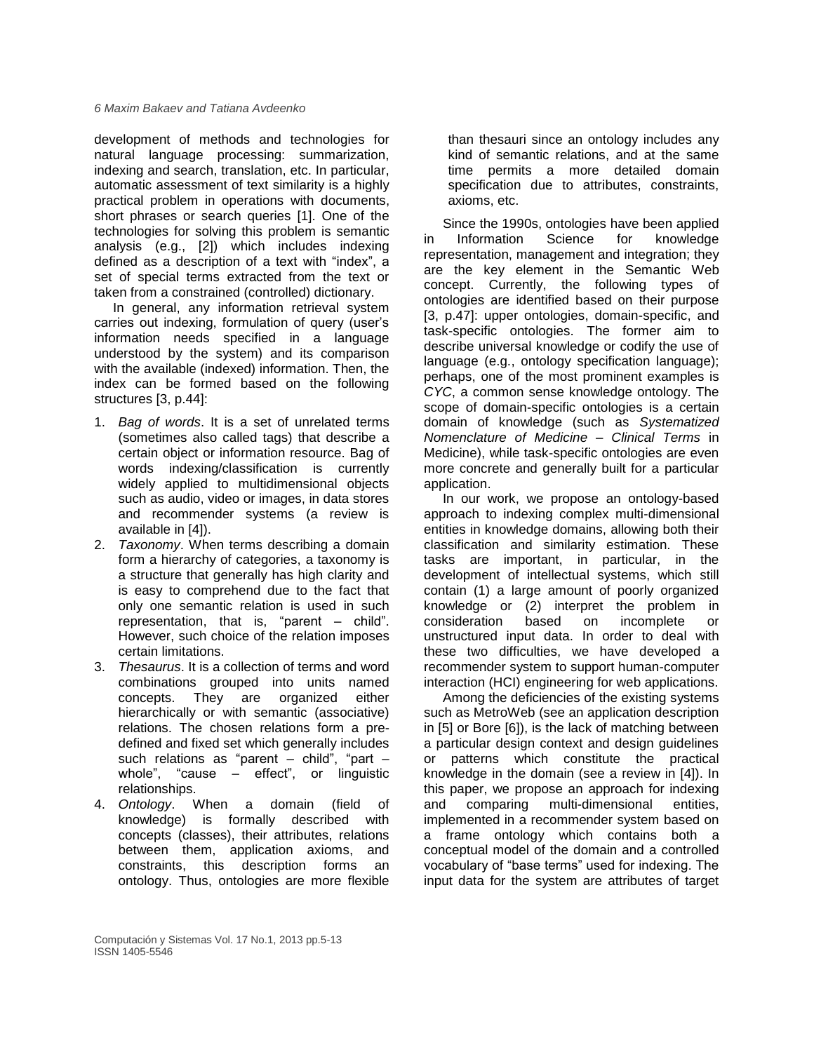development of methods and technologies for natural language processing: summarization, indexing and search, translation, etc. In particular, automatic assessment of text similarity is a highly practical problem in operations with documents, short phrases or search queries [1]. One of the technologies for solving this problem is semantic analysis (e.g., [2]) which includes indexing defined as a description of a text with "index", a set of special terms extracted from the text or taken from a constrained (controlled) dictionary.

In general, any information retrieval system carries out indexing, formulation of query (user's information needs specified in a language understood by the system) and its comparison with the available (indexed) information. Then, the index can be formed based on the following structures [3, p.44]:

- 1. *Bag of words*. It is a set of unrelated terms (sometimes also called tags) that describe a certain object or information resource. Bag of words indexing/classification is currently widely applied to multidimensional objects such as audio, video or images, in data stores and recommender systems (a review is available in [4]).
- 2. *Taxonomy*. When terms describing a domain form a hierarchy of categories, a taxonomy is a structure that generally has high clarity and is easy to comprehend due to the fact that only one semantic relation is used in such representation, that is, "parent – child". However, such choice of the relation imposes certain limitations.
- 3. *Thesaurus*. It is a collection of terms and word combinations grouped into units named concepts. They are organized either hierarchically or with semantic (associative) relations. The chosen relations form a predefined and fixed set which generally includes such relations as "parent – child", "part – whole", "cause – effect", or linguistic relationships.
- 4. *Ontology*. When a domain (field of knowledge) is formally described with concepts (classes), their attributes, relations between them, application axioms, and constraints, this description forms an ontology. Thus, ontologies are more flexible

than thesauri since an ontology includes any kind of semantic relations, and at the same time permits a more detailed domain specification due to attributes, constraints, axioms, etc.

Since the 1990s, ontologies have been applied in Information Science for knowledge representation, management and integration; they are the key element in the Semantic Web concept. Currently, the following types of ontologies are identified based on their purpose [3, p.47]: upper ontologies, domain-specific, and task-specific ontologies. The former aim to describe universal knowledge or codify the use of language (e.g., ontology specification language); perhaps, one of the most prominent examples is *CYC*, a common sense knowledge ontology. The scope of domain-specific ontologies is a certain domain of knowledge (such as *Systematized Nomenclature of Medicine – Clinical Terms* in Medicine), while task-specific ontologies are even more concrete and generally built for a particular application.

In our work, we propose an ontology-based approach to indexing complex multi-dimensional entities in knowledge domains, allowing both their classification and similarity estimation. These tasks are important, in particular, in the development of intellectual systems, which still contain (1) a large amount of poorly organized knowledge or (2) interpret the problem in consideration based on incomplete or unstructured input data. In order to deal with these two difficulties, we have developed a recommender system to support human-computer interaction (HCI) engineering for web applications.

Among the deficiencies of the existing systems such as MetroWeb (see an application description in [5] or Bore [6]), is the lack of matching between a particular design context and design guidelines or patterns which constitute the practical knowledge in the domain (see a review in [4]). In this paper, we propose an approach for indexing and comparing multi-dimensional entities, implemented in a recommender system based on a frame ontology which contains both a conceptual model of the domain and a controlled vocabulary of "base terms" used for indexing. The input data for the system are attributes of target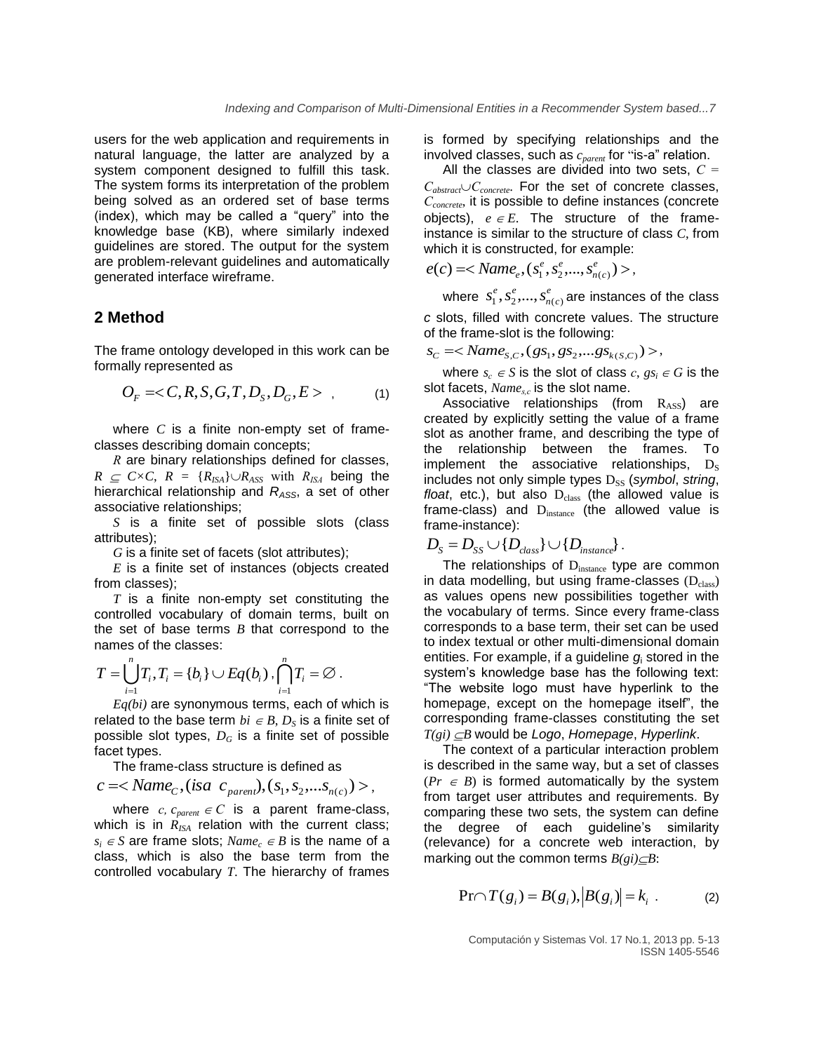users for the web application and requirements in natural language, the latter are analyzed by a system component designed to fulfill this task. The system forms its interpretation of the problem being solved as an ordered set of base terms (index), which may be called a "query" into the knowledge base (KB), where similarly indexed guidelines are stored. The output for the system are problem-relevant guidelines and automatically generated interface wireframe.

### **2 Method**

The frame ontology developed in this work can be formally represented as

$$
O_F =  ,
$$
 (1)

where *C* is a finite non-empty set of frameclasses describing domain concepts;

*R* are binary relationships defined for classes,  $R \subseteq C \times C$ ,  $R = {R_{ISA}} \cup R_{ASS}$  with  $R_{ISA}$  being the hierarchical relationship and *RASS*, a set of other associative relationships;

*S* is a finite set of possible slots (class attributes);

*G* is a finite set of facets (slot attributes);

*E* is a finite set of instances (objects created from classes);

*T* is a finite non-empty set constituting the controlled vocabulary of domain terms, built on the set of base terms *B* that correspond to the names of the classes:

$$
T = \bigcup_{i=1}^n T_i, T_i = \{b_i\} \cup Eq(b_i), \bigcap_{i=1}^n T_i = \emptyset.
$$

*Eq(bi)* are synonymous terms, each of which is related to the base term  $bi \in B$ ,  $D<sub>S</sub>$  is a finite set of possible slot types,  $D_G$  is a finite set of possible facet types.

The frame-class structure is defined as

$$
c = , (isa  $c_{parent}$ ),  $(s_1, s_2, ... s_{n(c)}) >$ ,
$$

where  $c$ ,  $c_{parent} \in C$  is a parent frame-class, which is in  $R_{ISA}$  relation with the current class;  $s_i \in S$  are frame slots; *Name<sub>c</sub>*  $\in B$  is the name of a class, which is also the base term from the controlled vocabulary *T*. The hierarchy of frames is formed by specifying relationships and the involved classes, such as *cparent* for "is-a" relation.

All the classes are divided into two sets, *С = СabstractСconcrete*. For the set of concrete classes, *Сconcrete*, it is possible to define instances (concrete objects),  $e \in E$ . The structure of the frameinstance is similar to the structure of class *C*, from which it is constructed, for example:

$$
e(c) = ,
$$

where  $s_1^e, s_2^e, ..., s_n^e$ *n c*  $s_1^e$ ,  $s_2^e$ ,...,  $s_{n(c)}^e$  are instances of the class *c* slots, filled with concrete values. The structure of the frame-slot is the following:

 $s_c$  =<  $Name_{S,C}$ , ( $gs_1$ ,  $gs_2$ , ... $gs_{k(S,C)}$ ) >,

where  $s_c \in S$  is the slot of class  $c, gs_i \in G$  is the slot facets, *Names,с* is the slot name.

Associative relationships (from  $R_{ASS}$ ) are created by explicitly setting the value of a frame slot as another frame, and describing the type of the relationship between the frames. To implement the associative relationships,  $D_s$ includes not only simple types D<sub>SS</sub> (symbol, string, *float*, etc.), but also  $D_{class}$  (the allowed value is frame-class) and D<sub>instance</sub> (the allowed value is frame-instance):

$$
D_{S} = D_{SS} \cup \{D_{class}\} \cup \{D_{instance}\}.
$$

The relationships of  $D_{instance}$  type are common in data modelling, but using frame-classes  $(D_{\text{class}})$ as values opens new possibilities together with the vocabulary of terms. Since every frame-class corresponds to a base term, their set can be used to index textual or other multi-dimensional domain entities. For example, if a guideline *g*<sup>i</sup> stored in the system's knowledge base has the following text: "The website logo must have hyperlink to the homepage, except on the homepage itself", the corresponding frame-classes constituting the set *T(gi) B* would be *Logo*, *Homepage*, *Hyperlink*.

The context of a particular interaction problem is described in the same way, but a set of classes  $(Pr \in B)$  is formed automatically by the system from target user attributes and requirements. By comparing these two sets, the system can define the degree of each guideline's similarity (relevance) for a concrete web interaction, by marking out the common terms  $B(gi) \subseteq B$ :

$$
\Pr{\cap T(g_i) = B(g_i), |B(g_i)| = k_i .}
$$
 (2)

Computación y Sistemas Vol. 17 No.1, 2013 pp. 5-13 ISSN 1405-5546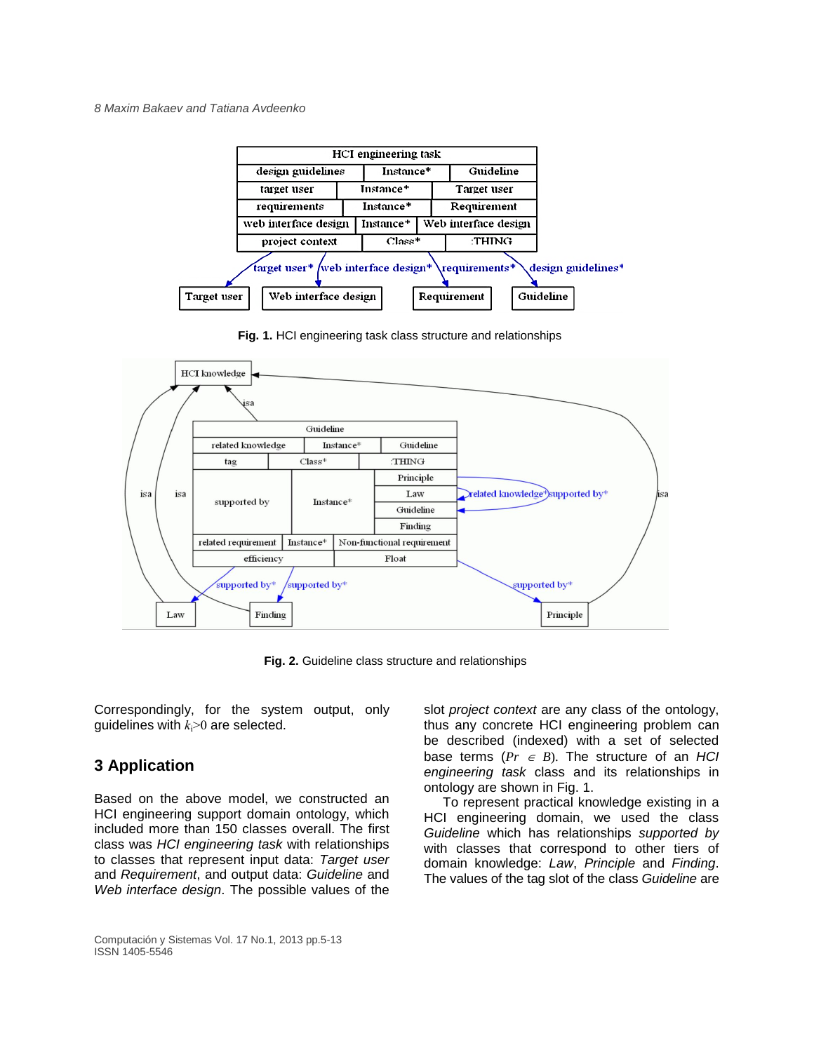

**Fig. 1.** HCI engineering task class structure and relationships



**Fig. 2.** Guideline class structure and relationships

Correspondingly, for the system output, only quidelines with  $k_i>0$  are selected.

# **3 Application**

Based on the above model, we constructed an HCI engineering support domain ontology, which included more than 150 classes overall. The first class was *HCI engineering task* with relationships to classes that represent input data: *Target user* and *Requirement*, and output data: *Guideline* and *Web interface design*. The possible values of the

slot *project context* are any class of the ontology, thus any concrete HCI engineering problem can be described (indexed) with a set of selected base terms  $(Pr \in B)$ . The structure of an *HCI engineering task* class and its relationships in ontology are shown in Fig. 1.

To represent practical knowledge existing in a HCI engineering domain, we used the class *Guideline* which has relationships *supported by* with classes that correspond to other tiers of domain knowledge: *Law*, *Principle* and *Finding*. The values of the tag slot of the class *Guideline* are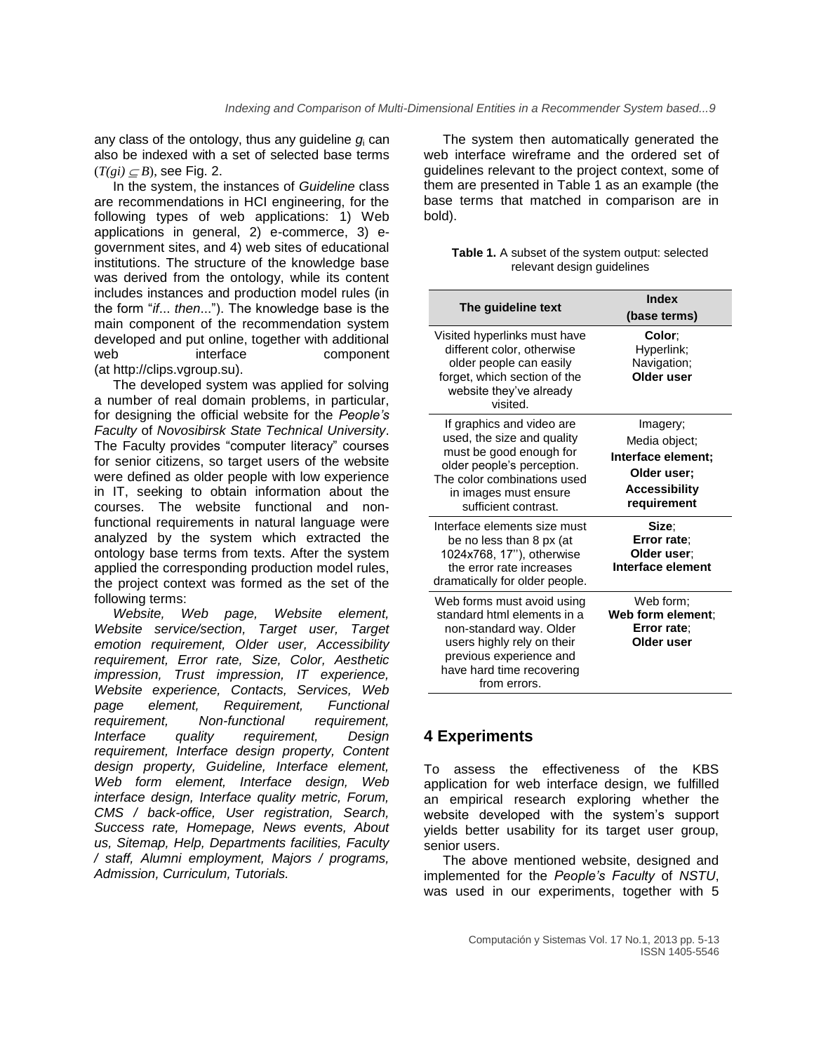any class of the ontology, thus any guideline *g*<sup>i</sup> can also be indexed with a set of selected base terms  $(T(gi) \subset B)$ , see Fig. 2.

In the system, the instances of *Guideline* class are recommendations in HCI engineering, for the following types of web applications: 1) Web applications in general, 2) e-commerce, 3) egovernment sites, and 4) web sites of educational institutions. The structure of the knowledge base was derived from the ontology, while its content includes instances and production model rules (in the form "*if*... *then*..."). The knowledge base is the main component of the recommendation system developed and put online, together with additional web interface component (at [http://clips.vgroup.su\)](http://clips.vgroup.su/).

The developed system was applied for solving a number of real domain problems, in particular, for designing the official website for the *People's Faculty* of *Novosibirsk State Technical University*. The Faculty provides "computer literacy" courses for senior citizens, so target users of the website were defined as older people with low experience in IT, seeking to obtain information about the courses. The website functional and nonfunctional requirements in natural language were analyzed by the system which extracted the ontology base terms from texts. After the system applied the corresponding production model rules, the project context was formed as the set of the following terms:

*Website, Web page, Website element, Website service/section, Target user, Target emotion requirement, Older user, Accessibility requirement, Error rate, Size, Color, Aesthetic impression, Trust impression, IT experience, Website experience, Contacts, Services, Web page element, Requirement, Functional requirement, Non-functional requirement, Interface quality requirement, Design requirement, Interface design property, Content design property, Guideline, Interface element, Web form element, Interface design, Web interface design, Interface quality metric, Forum, CMS / back-office, User registration, Search, Success rate, Homepage, News events, About us, Sitemap, Help, Departments facilities, Faculty / staff, Alumni employment, Majors / programs, Admission, Curriculum, Tutorials.*

The system then automatically generated the web interface wireframe and the ordered set of guidelines relevant to the project context, some of them are presented in Table 1 as an example (the base terms that matched in comparison are in bold).

| <b>Table 1.</b> A subset of the system output: selected |
|---------------------------------------------------------|
| relevant design guidelines                              |

| The guideline text                                                                                                                                                                               | Index<br>(base terms)                                                                                 |
|--------------------------------------------------------------------------------------------------------------------------------------------------------------------------------------------------|-------------------------------------------------------------------------------------------------------|
| Visited hyperlinks must have<br>different color, otherwise<br>older people can easily<br>forget, which section of the<br>website they've already<br>visited.                                     | Color:<br>Hyperlink;<br>Navigation;<br>Older user                                                     |
| If graphics and video are<br>used, the size and quality<br>must be good enough for<br>older people's perception.<br>The color combinations used<br>in images must ensure<br>sufficient contrast. | Imagery;<br>Media object;<br>Interface element;<br>Older user:<br><b>Accessibility</b><br>requirement |
| Interface elements size must<br>be no less than 8 px (at<br>1024x768, 17"), otherwise<br>the error rate increases<br>dramatically for older people.                                              | Size:<br>Error rate;<br>Older user:<br>Interface element                                              |
| Web forms must avoid using<br>standard html elements in a<br>non-standard way. Older<br>users highly rely on their<br>previous experience and<br>have hard time recovering<br>from errors.       | Web form;<br>Web form element:<br>Error rate:<br>Older user                                           |

## **4 Experiments**

To assess the effectiveness of the KBS application for web interface design, we fulfilled an empirical research exploring whether the website developed with the system's support yields better usability for its target user group, senior users.

The above mentioned website, designed and implemented for the *People's Faculty* of *NSTU*, was used in our experiments, together with 5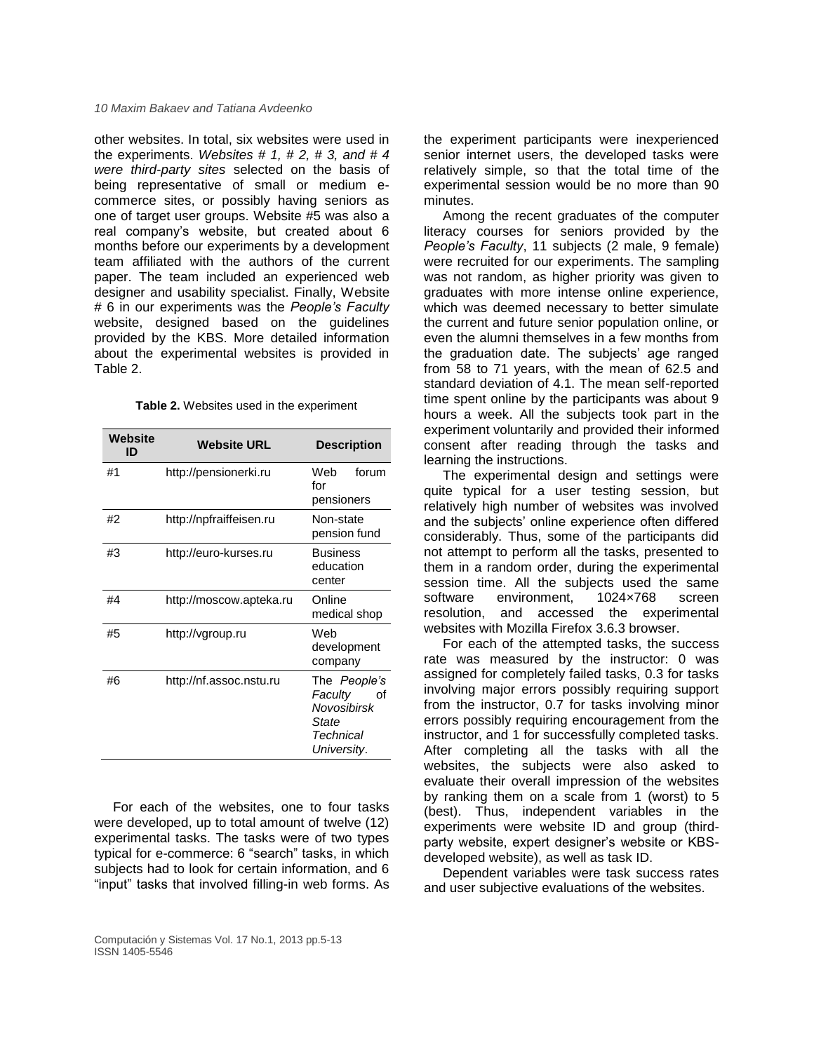other websites. In total, six websites were used in the experiments. *Websites # 1, # 2, # 3, and # 4 were third-party sites* selected on the basis of being representative of small or medium ecommerce sites, or possibly having seniors as one of target user groups. Website #5 was also a real company's website, but created about 6 months before our experiments by a development team affiliated with the authors of the current paper. The team included an experienced web designer and usability specialist. Finally, Website # 6 in our experiments was the *People's Faculty* website, designed based on the guidelines provided by the KBS. More detailed information about the experimental websites is provided in Table 2.

|  | Table 2. Websites used in the experiment |  |  |
|--|------------------------------------------|--|--|
|--|------------------------------------------|--|--|

| Website<br>ID | <b>Website URL</b>      | <b>Description</b>                                                                |
|---------------|-------------------------|-----------------------------------------------------------------------------------|
| #1            | http://pensionerki.ru   | forum<br>Web<br>f∩r<br>pensioners                                                 |
| #2            | http://npfraiffeisen.ru | Non-state<br>pension fund                                                         |
| #3            | http://euro-kurses.ru   | <b>Business</b><br>education<br>center                                            |
| #4            | http://moscow.apteka.ru | Online<br>medical shop                                                            |
| #5            | http://vgroup.ru        | Web<br>development<br>company                                                     |
| #6            | http://nf.assoc.nstu.ru | The People's<br>Faculty<br>Ωf<br>Novosibirsk<br>State<br>Technical<br>University. |

For each of the websites, one to four tasks were developed, up to total amount of twelve (12) experimental tasks. The tasks were of two types typical for e-commerce: 6 "search" tasks, in which subjects had to look for certain information, and 6 "input" tasks that involved filling-in web forms. As the experiment participants were inexperienced senior internet users, the developed tasks were relatively simple, so that the total time of the experimental session would be no more than 90 minutes.

Among the recent graduates of the computer literacy courses for seniors provided by the *People's Faculty*, 11 subjects (2 male, 9 female) were recruited for our experiments. The sampling was not random, as higher priority was given to graduates with more intense online experience, which was deemed necessary to better simulate the current and future senior population online, or even the alumni themselves in a few months from the graduation date. The subjects' age ranged from 58 to 71 years, with the mean of 62.5 and standard deviation of 4.1. The mean self-reported time spent online by the participants was about 9 hours a week. All the subjects took part in the experiment voluntarily and provided their informed consent after reading through the tasks and learning the instructions.

The experimental design and settings were quite typical for a user testing session, but relatively high number of websites was involved and the subjects' online experience often differed considerably. Thus, some of the participants did not attempt to perform all the tasks, presented to them in a random order, during the experimental session time. All the subjects used the same software environment, 1024×768 screen resolution, and accessed the experimental websites with Mozilla Firefox 3.6.3 browser.

For each of the attempted tasks, the success rate was measured by the instructor: 0 was assigned for completely failed tasks, 0.3 for tasks involving major errors possibly requiring support from the instructor, 0.7 for tasks involving minor errors possibly requiring encouragement from the instructor, and 1 for successfully completed tasks. After completing all the tasks with all the websites, the subjects were also asked to evaluate their overall impression of the websites by ranking them on a scale from 1 (worst) to 5 (best). Thus, independent variables in the experiments were website ID and group (thirdparty website, expert designer's website or KBSdeveloped website), as well as task ID.

Dependent variables were task success rates and user subjective evaluations of the websites.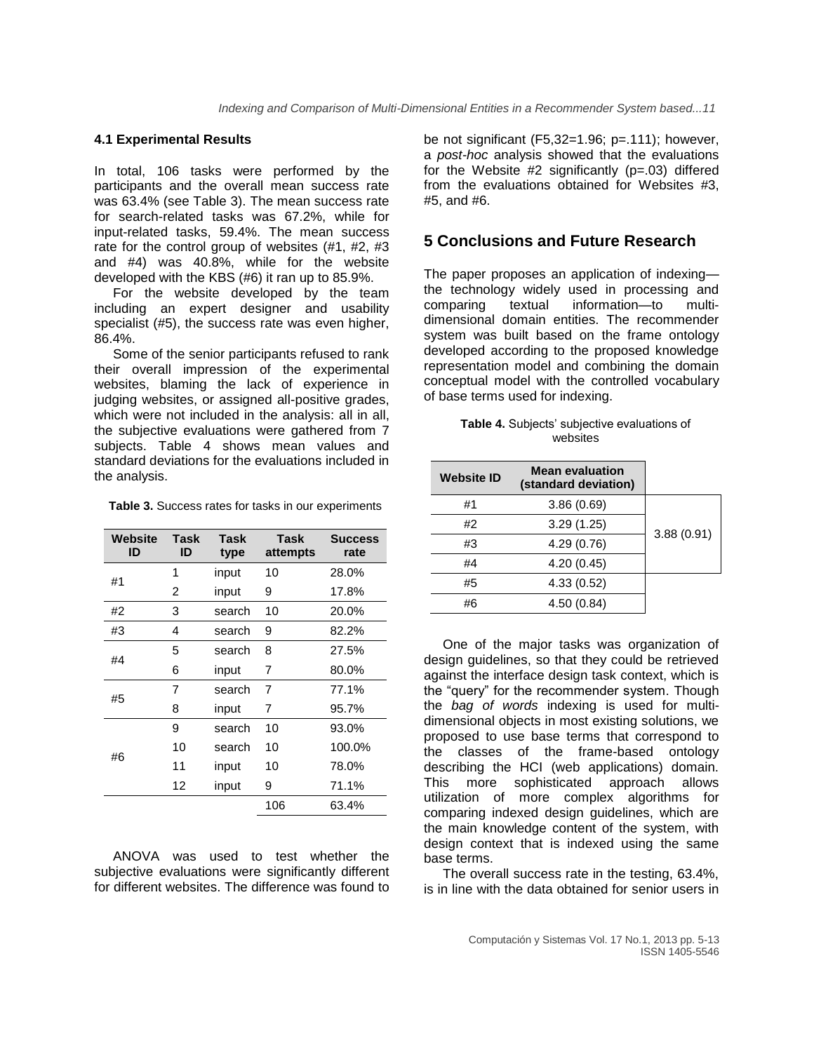### **4.1 Experimental Results**

In total, 106 tasks were performed by the participants and the overall mean success rate was 63.4% (see Table 3). The mean success rate for search-related tasks was 67.2%, while for input-related tasks, 59.4%. The mean success rate for the control group of websites (#1, #2, #3 and #4) was 40.8%, while for the website developed with the KBS (#6) it ran up to 85.9%.

For the website developed by the team including an expert designer and usability specialist (#5), the success rate was even higher, 86.4%.

Some of the senior participants refused to rank their overall impression of the experimental websites, blaming the lack of experience in judging websites, or assigned all-positive grades, which were not included in the analysis: all in all, the subjective evaluations were gathered from 7 subjects. Table 4 shows mean values and standard deviations for the evaluations included in the analysis.

**Table 3.** Success rates for tasks in our experiments

| Website<br>ID | <b>Task</b><br>ID | <b>Task</b><br>type | <b>Task</b><br>attempts | <b>Success</b><br>rate |
|---------------|-------------------|---------------------|-------------------------|------------------------|
| #1            | 1                 | input               | 10                      | 28.0%                  |
|               | 2                 | input               | 9                       | 17.8%                  |
| #2            | 3                 | search              | 10                      | 20.0%                  |
| #3            | 4                 | search              | 9                       | 82.2%                  |
| #4            | 5                 | search              | 8                       | 27.5%                  |
|               | 6                 | input               | 7                       | 80.0%                  |
| #5            | 7                 | search              | 7                       | 77.1%                  |
|               | 8                 | input               | 7                       | 95.7%                  |
|               | 9                 | search              | 10                      | 93.0%                  |
| #6            | 10                | search              | 10                      | 100.0%                 |
|               | 11                | input               | 10                      | 78.0%                  |
|               | 12                | input               | 9                       | 71.1%                  |
|               |                   |                     | 106                     | 63.4%                  |

ANOVA was used to test whether the subjective evaluations were significantly different for different websites. The difference was found to

be not significant (F5,32=1.96; p=.111); however, a *post-hoc* analysis showed that the evaluations for the Website  $#2$  significantly ( $p=.03$ ) differed from the evaluations obtained for Websites #3, #5, and #6.

### **5 Conclusions and Future Research**

The paper proposes an application of indexing the technology widely used in processing and comparing textual information—to multidimensional domain entities. The recommender system was built based on the frame ontology developed according to the proposed knowledge representation model and combining the domain conceptual model with the controlled vocabulary of base terms used for indexing.

| <b>Table 4.</b> Subjects' subjective evaluations of |  |
|-----------------------------------------------------|--|
| websites                                            |  |

| <b>Website ID</b> | <b>Mean evaluation</b><br>(standard deviation) |            |
|-------------------|------------------------------------------------|------------|
| #1                | 3.86(0.69)                                     |            |
| #2                | 3.29(1.25)                                     | 3.88(0.91) |
| #3                | 4.29(0.76)                                     |            |
| #4                | 4.20(0.45)                                     |            |
| #5                | 4.33(0.52)                                     |            |
| #6                | 4.50(0.84)                                     |            |

One of the major tasks was organization of design guidelines, so that they could be retrieved against the interface design task context, which is the "query" for the recommender system. Though the *bag of words* indexing is used for multidimensional objects in most existing solutions, we proposed to use base terms that correspond to the classes of the frame-based ontology describing the HCI (web applications) domain. This more sophisticated approach allows utilization of more complex algorithms for comparing indexed design guidelines, which are the main knowledge content of the system, with design context that is indexed using the same base terms.

The overall success rate in the testing, 63.4%, is in line with the data obtained for senior users in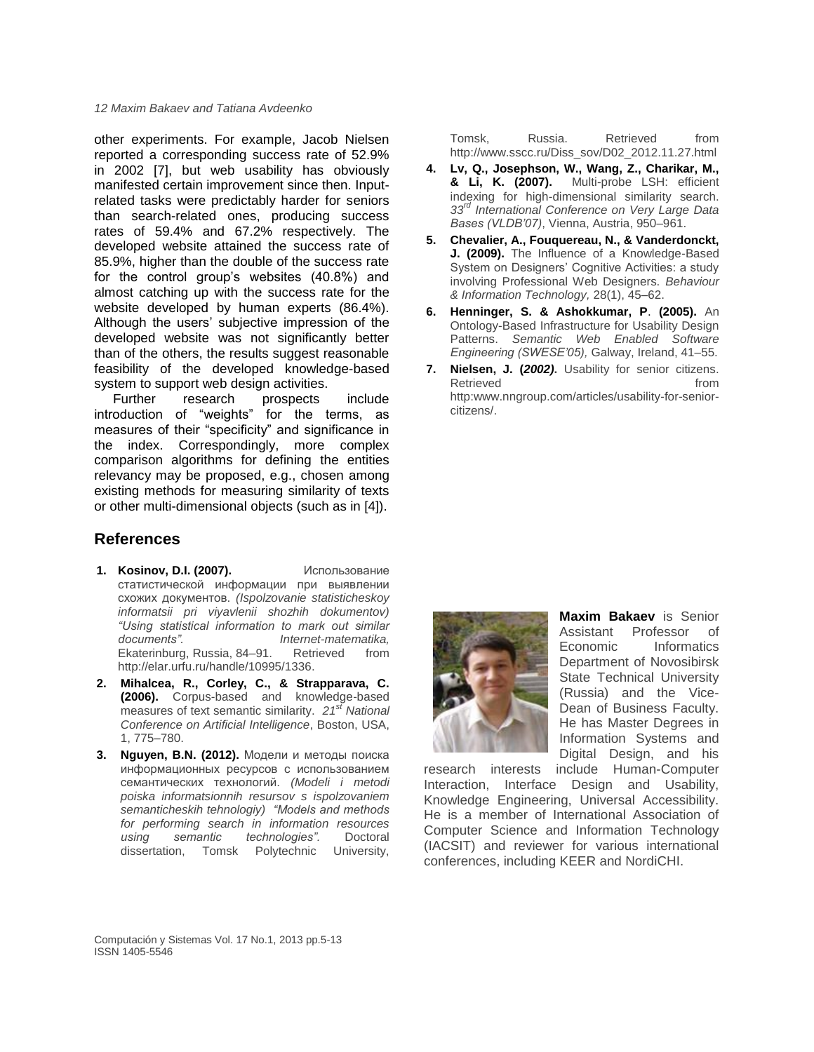other experiments. For example, Jacob Nielsen reported a corresponding success rate of 52.9% in 2002 [7], but web usability has obviously manifested certain improvement since then. Inputrelated tasks were predictably harder for seniors than search-related ones, producing success rates of 59.4% and 67.2% respectively. The developed website attained the success rate of 85.9%, higher than the double of the success rate for the control group's websites (40.8%) and almost catching up with the success rate for the website developed by human experts (86.4%). Although the users' subjective impression of the developed website was not significantly better than of the others, the results suggest reasonable feasibility of the developed knowledge-based system to support web design activities.

Further research prospects include introduction of "weights" for the terms, as measures of their "specificity" and significance in the index. Correspondingly, more complex comparison algorithms for defining the entities relevancy may be proposed, e.g., chosen among existing methods for measuring similarity of texts or other multi-dimensional objects (such as in [4]).

### **References**

- **1. Kosinov, D.I. (2007).** Использование статистической информации при выявлении схожих документов. *(Ispolzovanie statisticheskoy informatsii pri viyavlenii shozhih dokumentov) "Using statistical information to mark out similar documents". Internet-matematika,*  Ekaterinburg, Russia, 84–91. Retrieved from [http://elar.urfu.ru/handle/10995/1336.](http://elar.urfu.ru/handle/10995/1336)
- **2. Mihalcea, R., Corley, C., & Strapparava, C. (2006).** Corpus-based and knowledge-based measures of text semantic similarity. *21st National Conference on Artificial Intelligence*, Boston, USA, 1, 775–780.
- **3. Nguyen, B.N. (2012).** Модели и методы поиска информационных ресурсов с использованием семантических технологий. *(Modeli i metodi poiska informatsionnih resursov s ispolzovaniem semanticheskih tehnologiy) "Models and methods for performing search in information resources using semantic technologies".* Doctoral dissertation, Tomsk Polytechnic University,

Tomsk, Russia. Retrieved from [http://www.sscc.ru/Diss\\_sov/D02\\_2012.11.27.html](http://www.sscc.ru/Diss_sov/D02_2012.11.27.html)

- **4. Lv, Q., Josephson, W., Wang, Z., Charikar, M., & Li, K. (2007).** Multi-probe LSH: efficient indexing for high-dimensional similarity search. *33rd International Conference on Very Large Data Bases (VLDB'07)*, Vienna, Austria, 950–961.
- **5. Chevalier, A., Fouquereau, N., & Vanderdonckt, J. (2009).** The Influence of a Knowledge-Based System on Designers' Cognitive Activities: a study involving Professional Web Designers. *Behaviour & Information Technology,* 28(1), 45–62.
- **6. Henninger, S. & Ashokkumar, P**. **(2005).** An Ontology-Based Infrastructure for Usability Design Patterns. *Semantic Web Enabled Software Engineering (SWESE'05),* Galway, Ireland, 41–55.
- **7. Nielsen, J. (***2002)***.** Usability for senior citizens. Retrieved **from** [http:www.nngroup.com/articles/usability-for-senior](http://http/)[citizens/.](http://www.nngroup.com/articles/usability-for-senior-citizens/)



**[Maxim Bakaev](http://www.mendeley.com/profiles/maxim-bakaev/)** is Senior Assistant Professor of Economic Informatics Department of Novosibirsk State Technical University (Russia) and the Vice-Dean of Business Faculty. He has Master Degrees in Information Systems and Digital Design, and his

research interests include Human-Computer Interaction, Interface Design and Usability, Knowledge Engineering, Universal Accessibility. He is a member of International Association of Computer Science and Information Technology (IACSIT) and reviewer for various international conferences, including KEER and NordiCHI.